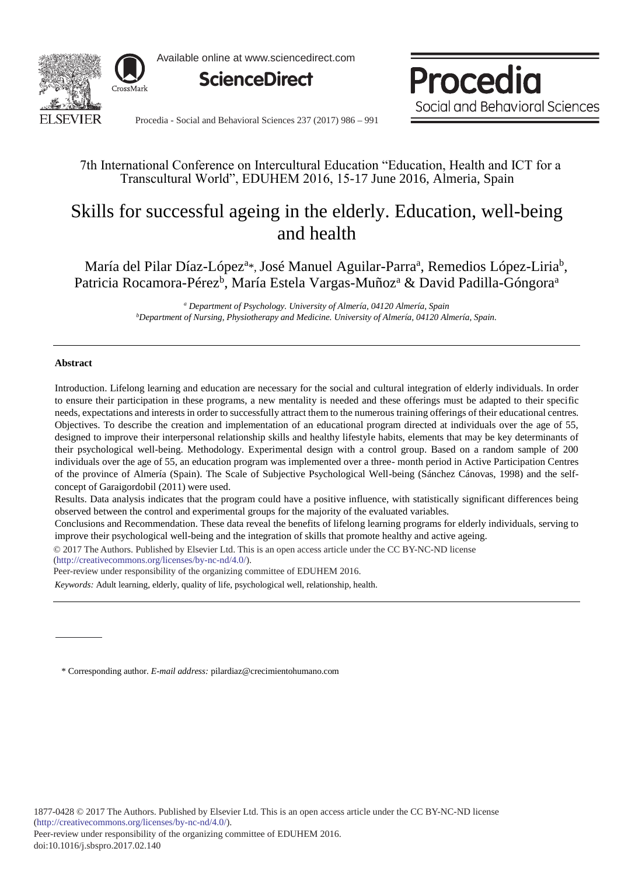

Available online at www.sciencedirect.com





Procedia - Social and Behavioral Sciences 237 (2017) 986 - 991

# 7th International Conference on Intercultural Education "Education, Health and ICT for a Transcultural World", EDUHEM 2016, 15-17 June 2016, Almeria, Spain

# Skills for successful ageing in the elderly. Education, well-being and health

María del Pilar Díaz-López<sup>a\*</sup>, José Manuel Aguilar-Parra<sup>a</sup>, Remedios López-Liria<sup>b</sup>, Patricia Rocamora-Pérez<sup>b</sup>, María Estela Vargas-Muñoz<sup>a</sup> & David Padilla-Góngora<sup>a</sup>

> *<sup>a</sup> Department of Psychology. University of Almería, 04120 Almería, Spain b Department of Nursing, Physiotherapy and Medicine. University of Almería, 04120 Almería, Spain.*

# **Abstract**

Introduction. Lifelong learning and education are necessary for the social and cultural integration of elderly individuals. In order to ensure their participation in these programs, a new mentality is needed and these offerings must be adapted to their specific needs, expectations and interests in order to successfully attract them to the numerous training offerings of their educational centres. Objectives. To describe the creation and implementation of an educational program directed at individuals over the age of 55, designed to improve their interpersonal relationship skills and healthy lifestyle habits, elements that may be key determinants of their psychological well-being. Methodology. Experimental design with a control group. Based on a random sample of 200 individuals over the age of 55, an education program was implemented over a three- month period in Active Participation Centres of the province of Almería (Spain). The Scale of Subjective Psychological Well-being (Sánchez Cánovas, 1998) and the selfconcept of Garaigordobil (2011) were used.

Results. Data analysis indicates that the program could have a positive influence, with statistically significant differences being observed between the control and experimental groups for the majority of the evaluated variables.

Conclusions and Recommendation. These data reveal the benefits of lifelong learning programs for elderly individuals, serving to improve their psychological well-being and the integration of skills that promote healthy and active ageing.

© 2016 The Authors. Published by Elsevier Ltd. © 2017 The Authors. Published by Elsevier Ltd. This is an open access article under the CC BY-NC-ND license (http://creativecommons.org/licenses/by-nc-nd/4.0/).

Peer-review under responsibility of the organizing committee of EDUHEM 2016.

*Keywords:* Adult learning, elderly, quality of life, psychological well, relationship, health.

\* Corresponding author. *E-mail address:* pilardiaz@crecimientohumano.com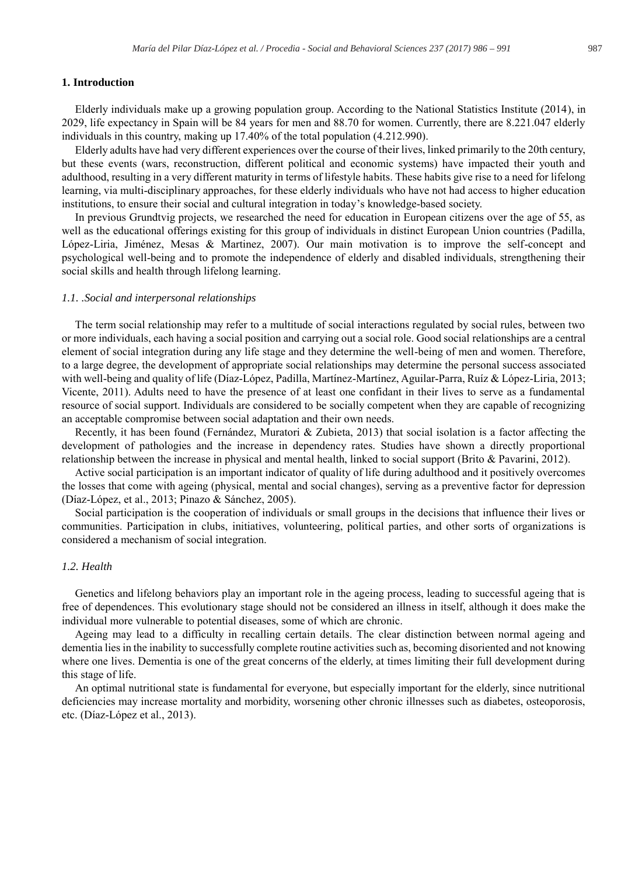# **1. Introduction**

Elderly individuals make up a growing population group. According to the National Statistics Institute (2014), in 2029, life expectancy in Spain will be 84 years for men and 88.70 for women. Currently, there are 8.221.047 elderly individuals in this country, making up 17.40% of the total population (4.212.990).

Elderly adults have had very different experiences over the course of their lives, linked primarily to the 20th century, but these events (wars, reconstruction, different political and economic systems) have impacted their youth and adulthood, resulting in a very different maturity in terms of lifestyle habits. These habits give rise to a need for lifelong learning, via multi-disciplinary approaches, for these elderly individuals who have not had access to higher education institutions, to ensure their social and cultural integration in today's knowledge-based society.

In previous Grundtvig projects, we researched the need for education in European citizens over the age of 55, as well as the educational offerings existing for this group of individuals in distinct European Union countries (Padilla, López-Liria, Jiménez, Mesas & Martinez, 2007). Our main motivation is to improve the self-concept and psychological well-being and to promote the independence of elderly and disabled individuals, strengthening their social skills and health through lifelong learning.

# *1.1. .Social and interpersonal relationships*

The term social relationship may refer to a multitude of social interactions regulated by social rules, between two or more individuals, each having a social position and carrying out a social role. Good social relationships are a central element of social integration during any life stage and they determine the well-being of men and women. Therefore, to a large degree, the development of appropriate social relationships may determine the personal success associated with well-being and quality of life (Díaz-López, Padilla, Martínez-Martínez, Aguilar-Parra, Ruíz & López-Liria, 2013; Vicente, 2011). Adults need to have the presence of at least one confidant in their lives to serve as a fundamental resource of social support. Individuals are considered to be socially competent when they are capable of recognizing an acceptable compromise between social adaptation and their own needs.

Recently, it has been found (Fernández, Muratori & Zubieta, 2013) that social isolation is a factor affecting the development of pathologies and the increase in dependency rates. Studies have shown a directly proportional relationship between the increase in physical and mental health, linked to social support (Brito & Pavarini, 2012).

Active social participation is an important indicator of quality of life during adulthood and it positively overcomes the losses that come with ageing (physical, mental and social changes), serving as a preventive factor for depression (Díaz-López, et al., 2013; Pinazo & Sánchez, 2005).

Social participation is the cooperation of individuals or small groups in the decisions that influence their lives or communities. Participation in clubs, initiatives, volunteering, political parties, and other sorts of organizations is considered a mechanism of social integration.

# *1.2. Health*

Genetics and lifelong behaviors play an important role in the ageing process, leading to successful ageing that is free of dependences. This evolutionary stage should not be considered an illness in itself, although it does make the individual more vulnerable to potential diseases, some of which are chronic.

Ageing may lead to a difficulty in recalling certain details. The clear distinction between normal ageing and dementia lies in the inability to successfully complete routine activities such as, becoming disoriented and not knowing where one lives. Dementia is one of the great concerns of the elderly, at times limiting their full development during this stage of life.

An optimal nutritional state is fundamental for everyone, but especially important for the elderly, since nutritional deficiencies may increase mortality and morbidity, worsening other chronic illnesses such as diabetes, osteoporosis, etc. (Díaz-López et al., 2013).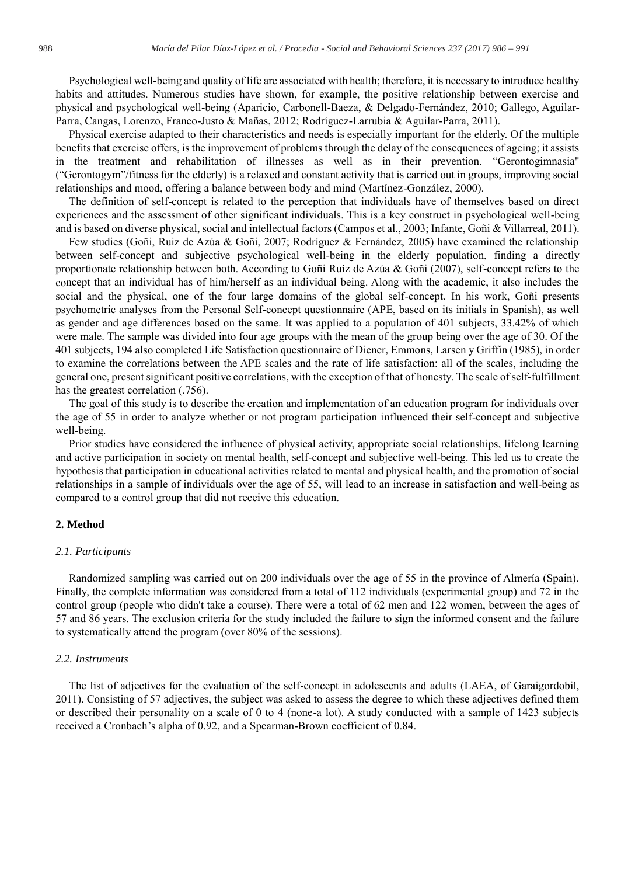Psychological well-being and quality of life are associated with health; therefore, it is necessary to introduce healthy habits and attitudes. Numerous studies have shown, for example, the positive relationship between exercise and physical and psychological well-being (Aparicio, Carbonell-Baeza, & Delgado-Fernández, 2010; Gallego, Aguilar-Parra, Cangas, Lorenzo, Franco-Justo & Mañas, 2012; Rodríguez-Larrubia & Aguilar-Parra, 2011).

Physical exercise adapted to their characteristics and needs is especially important for the elderly. Of the multiple benefits that exercise offers, is the improvement of problems through the delay of the consequences of ageing; it assists in the treatment and rehabilitation of illnesses as well as in their prevention. "Gerontogimnasia" ("Gerontogym"/fitness for the elderly) is a relaxed and constant activity that is carried out in groups, improving social relationships and mood, offering a balance between body and mind (Martínez-González, 2000).

The definition of self-concept is related to the perception that individuals have of themselves based on direct experiences and the assessment of other significant individuals. This is a key construct in psychological well-being and is based on diverse physical, social and intellectual factors (Campos et al., 2003; Infante, Goñi & Villarreal, 2011).

Few studies (Goñi, Ruiz de Azúa & Goñi, 2007; Rodríguez & Fernández, 2005) have examined the relationship between self-concept and subjective psychological well-being in the elderly population, finding a directly proportionate relationship between both. According to Goñi Ruíz de Azúa & Goñi (2007), self-concept refers to the concept that an individual has of him/herself as an individual being. Along with the academic, it also includes the social and the physical, one of the four large domains of the global self-concept. In his work, Goñi presents psychometric analyses from the Personal Self-concept questionnaire (APE, based on its initials in Spanish), as well as gender and age differences based on the same. It was applied to a population of 401 subjects, 33.42% of which were male. The sample was divided into four age groups with the mean of the group being over the age of 30. Of the 401 subjects, 194 also completed Life Satisfaction questionnaire of Diener, Emmons, Larsen y Griffin (1985), in order to examine the correlations between the APE scales and the rate of life satisfaction: all of the scales, including the general one, present significant positive correlations, with the exception of that of honesty. The scale of self-fulfillment has the greatest correlation (.756).

The goal of this study is to describe the creation and implementation of an education program for individuals over the age of 55 in order to analyze whether or not program participation influenced their self-concept and subjective well-being.

Prior studies have considered the influence of physical activity, appropriate social relationships, lifelong learning and active participation in society on mental health, self-concept and subjective well-being. This led us to create the hypothesis that participation in educational activities related to mental and physical health, and the promotion of social relationships in a sample of individuals over the age of 55, will lead to an increase in satisfaction and well-being as compared to a control group that did not receive this education.

# **2. Method**

#### *2.1. Participants*

Randomized sampling was carried out on 200 individuals over the age of 55 in the province of Almería (Spain). Finally, the complete information was considered from a total of 112 individuals (experimental group) and 72 in the control group (people who didn't take a course). There were a total of 62 men and 122 women, between the ages of 57 and 86 years. The exclusion criteria for the study included the failure to sign the informed consent and the failure to systematically attend the program (over 80% of the sessions).

## *2.2. Instruments*

The list of adjectives for the evaluation of the self-concept in adolescents and adults (LAEA, of Garaigordobil, 2011). Consisting of 57 adjectives, the subject was asked to assess the degree to which these adjectives defined them or described their personality on a scale of 0 to 4 (none-a lot). A study conducted with a sample of 1423 subjects received a Cronbach's alpha of 0.92, and a Spearman-Brown coefficient of 0.84.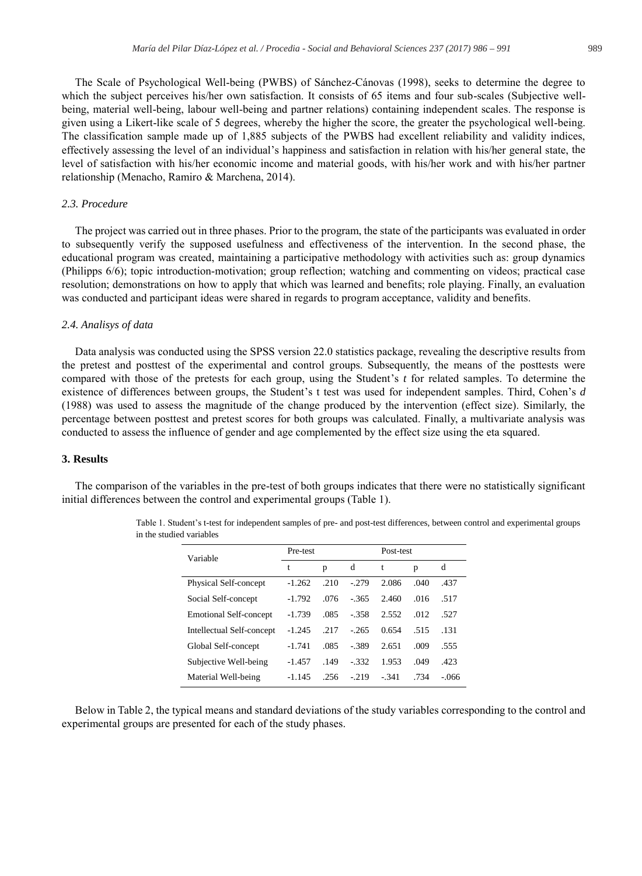The Scale of Psychological Well-being (PWBS) of Sánchez-Cánovas (1998), seeks to determine the degree to which the subject perceives his/her own satisfaction. It consists of 65 items and four sub-scales (Subjective wellbeing, material well-being, labour well-being and partner relations) containing independent scales. The response is given using a Likert-like scale of 5 degrees, whereby the higher the score, the greater the psychological well-being. The classification sample made up of 1,885 subjects of the PWBS had excellent reliability and validity indices, effectively assessing the level of an individual's happiness and satisfaction in relation with his/her general state, the level of satisfaction with his/her economic income and material goods, with his/her work and with his/her partner relationship (Menacho, Ramiro & Marchena, 2014).

# *2.3. Procedure*

The project was carried out in three phases. Prior to the program, the state of the participants was evaluated in order to subsequently verify the supposed usefulness and effectiveness of the intervention. In the second phase, the educational program was created, maintaining a participative methodology with activities such as: group dynamics (Philipps 6/6); topic introduction-motivation; group reflection; watching and commenting on videos; practical case resolution; demonstrations on how to apply that which was learned and benefits; role playing. Finally, an evaluation was conducted and participant ideas were shared in regards to program acceptance, validity and benefits.

#### *2.4. Analisys of data*

Data analysis was conducted using the SPSS version 22.0 statistics package, revealing the descriptive results from the pretest and posttest of the experimental and control groups. Subsequently, the means of the posttests were compared with those of the pretests for each group, using the Student's *t* for related samples. To determine the existence of differences between groups, the Student's t test was used for independent samples. Third, Cohen's *d* (1988) was used to assess the magnitude of the change produced by the intervention (effect size). Similarly, the percentage between posttest and pretest scores for both groups was calculated. Finally, a multivariate analysis was conducted to assess the influence of gender and age complemented by the effect size using the eta squared.

# **3. Results**

The comparison of the variables in the pre-test of both groups indicates that there were no statistically significant initial differences between the control and experimental groups (Table 1).

| Variable                      | Pre-test |      |         | Post-test |      |        |  |
|-------------------------------|----------|------|---------|-----------|------|--------|--|
|                               | t        | p    | d       | t         | p    | d      |  |
| Physical Self-concept         | $-1.262$ | .210 | $-279$  | 2.086     | .040 | .437   |  |
| Social Self-concept           | $-1.792$ | .076 | $-365$  | 2.460     | .016 | 517    |  |
| <b>Emotional Self-concept</b> | $-1.739$ | .085 | $-.358$ | 2.552     | 012  | -527   |  |
| Intellectual Self-concept     | $-1.245$ | 217  | $-265$  | 0.654     | 515  | -131   |  |
| Global Self-concept           | $-1741$  | .085 | $-.389$ | 2.651     | .009 | .555   |  |
| Subjective Well-being         | $-1.457$ | .149 | $-332$  | 1953      | .049 | .423   |  |
| Material Well-being           | $-1.145$ | 256  | $-219$  | $-341$    | 734  | $-066$ |  |

Table 1. Student's t-test for independent samples of pre- and post-test differences, between control and experimental groups in the studied variables

Below in Table 2, the typical means and standard deviations of the study variables corresponding to the control and experimental groups are presented for each of the study phases.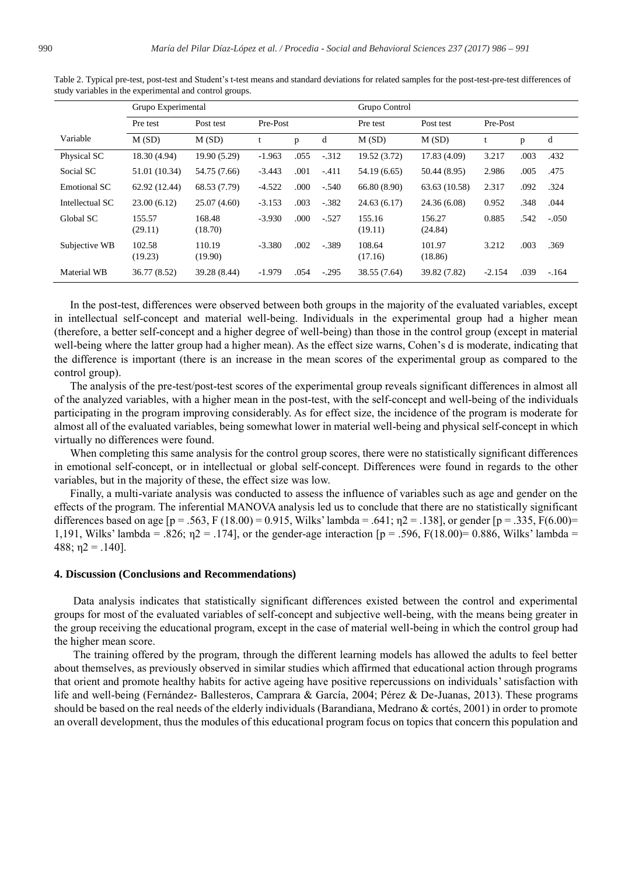|                 | Grupo Experimental |                   |          |      |          | Grupo Control     |                   |          |      |         |  |
|-----------------|--------------------|-------------------|----------|------|----------|-------------------|-------------------|----------|------|---------|--|
|                 | Pre test           | Post test         | Pre-Post |      | Pre test | Post test         | Pre-Post          |          |      |         |  |
| Variable        | M(SD)              | M(SD)             |          | p    | d        | M(SD)             | M(SD)             | t        | p    | d       |  |
| Physical SC     | 18.30 (4.94)       | 19.90 (5.29)      | $-1.963$ | .055 | $-.312$  | 19.52 (3.72)      | 17.83 (4.09)      | 3.217    | .003 | .432    |  |
| Social SC       | 51.01 (10.34)      | 54.75 (7.66)      | $-3.443$ | .001 | $-411$   | 54.19 (6.65)      | 50.44 (8.95)      | 2.986    | .005 | .475    |  |
| Emotional SC    | 62.92 (12.44)      | 68.53 (7.79)      | $-4.522$ | .000 | $-.540$  | 66.80 (8.90)      | 63.63 (10.58)     | 2.317    | .092 | .324    |  |
| Intellectual SC | 23.00(6.12)        | 25.07(4.60)       | $-3.153$ | .003 | $-.382$  | 24.63(6.17)       | 24.36 (6.08)      | 0.952    | .348 | .044    |  |
| Global SC       | 155.57<br>(29.11)  | 168.48<br>(18.70) | $-3.930$ | .000 | $-.527$  | 155.16<br>(19.11) | 156.27<br>(24.84) | 0.885    | .542 | $-.050$ |  |
| Subjective WB   | 102.58<br>(19.23)  | 110.19<br>(19.90) | $-3.380$ | .002 | $-.389$  | 108.64<br>(17.16) | 101.97<br>(18.86) | 3.212    | .003 | .369    |  |
| Material WB     | 36.77 (8.52)       | 39.28 (8.44)      | $-1.979$ | .054 | $-.295$  | 38.55 (7.64)      | 39.82 (7.82)      | $-2.154$ | .039 | $-.164$ |  |

Table 2. Typical pre-test, post-test and Student's t-test means and standard deviations for related samples for the post-test-pre-test differences of study variables in the experimental and control groups.

In the post-test, differences were observed between both groups in the majority of the evaluated variables, except in intellectual self-concept and material well-being. Individuals in the experimental group had a higher mean (therefore, a better self-concept and a higher degree of well-being) than those in the control group (except in material well-being where the latter group had a higher mean). As the effect size warns, Cohen's d is moderate, indicating that the difference is important (there is an increase in the mean scores of the experimental group as compared to the control group).

The analysis of the pre-test/post-test scores of the experimental group reveals significant differences in almost all of the analyzed variables, with a higher mean in the post-test, with the self-concept and well-being of the individuals participating in the program improving considerably. As for effect size, the incidence of the program is moderate for almost all of the evaluated variables, being somewhat lower in material well-being and physical self-concept in which virtually no differences were found.

When completing this same analysis for the control group scores, there were no statistically significant differences in emotional self-concept, or in intellectual or global self-concept. Differences were found in regards to the other variables, but in the majority of these, the effect size was low.

Finally, a multi-variate analysis was conducted to assess the influence of variables such as age and gender on the effects of the program. The inferential MANOVA analysis led us to conclude that there are no statistically significant differences based on age  $[p = .563, F(18.00) = 0.915, Wilks' lambda = .641; \eta2 = .138]$ , or gender  $[p = .335, F(6.00) =$ 1,191, Wilks' lambda = .826;  $\eta$ 2 = .174], or the gender-age interaction  $[p = .596, F(18.00) = 0.886,$  Wilks' lambda = 488;  $\eta$ 2 = .140].

#### **4. Discussion (Conclusions and Recommendations)**

Data analysis indicates that statistically significant differences existed between the control and experimental groups for most of the evaluated variables of self-concept and subjective well-being, with the means being greater in the group receiving the educational program, except in the case of material well-being in which the control group had the higher mean score.

The training offered by the program, through the different learning models has allowed the adults to feel better about themselves, as previously observed in similar studies which affirmed that educational action through programs that orient and promote healthy habits for active ageing have positive repercussions on individuals' satisfaction with life and well-being (Fernández- Ballesteros, Camprara & García, 2004; Pérez & De-Juanas, 2013). These programs should be based on the real needs of the elderly individuals (Barandiana, Medrano & cortés, 2001) in order to promote an overall development, thus the modules of this educational program focus on topics that concern this population and